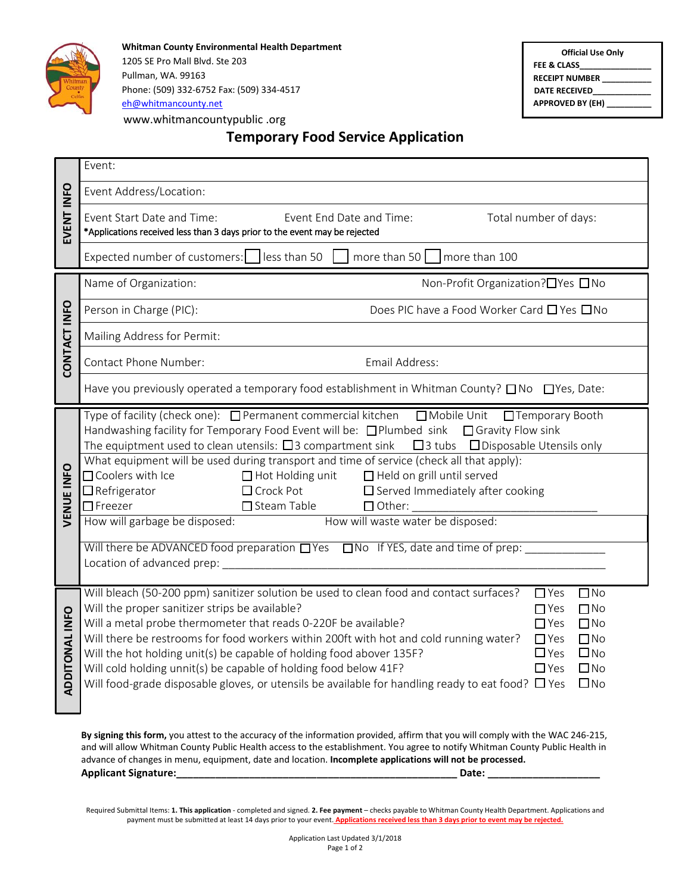

**Whitman County Environmental Health Department**  1205 SE Pro Mall Blvd. Ste 203 Pullman, WA. 99163 Phone: (509) 332-6752 Fax: (509) 334-4517 ( [eh@whitmancounty.net](mailto:eh@whitmancounty.net) www.whitmancountypublic .org

**Official Use Only FEE & CLASS\_\_\_\_\_\_\_\_\_\_\_\_\_\_\_\_ RECEIPT NUMBER \_\_\_\_\_\_\_\_\_\_\_ DATE RECEIVED\_\_\_\_\_\_\_\_\_\_\_\_\_ APPROVED BY (EH) \_\_\_\_\_\_\_\_\_\_**

## **Temporary Food Service Application**

|                       | Event:                                                                                                                                                                                                                                                                                                                                                                                                                                                                                                                                                                                                                                                                                                                                                                                                                              |  |  |  |  |  |
|-----------------------|-------------------------------------------------------------------------------------------------------------------------------------------------------------------------------------------------------------------------------------------------------------------------------------------------------------------------------------------------------------------------------------------------------------------------------------------------------------------------------------------------------------------------------------------------------------------------------------------------------------------------------------------------------------------------------------------------------------------------------------------------------------------------------------------------------------------------------------|--|--|--|--|--|
| EVENT INFO            | Event Address/Location:                                                                                                                                                                                                                                                                                                                                                                                                                                                                                                                                                                                                                                                                                                                                                                                                             |  |  |  |  |  |
|                       | Event Start Date and Time:<br>Event End Date and Time:<br>Total number of days:<br>*Applications received less than 3 days prior to the event may be rejected                                                                                                                                                                                                                                                                                                                                                                                                                                                                                                                                                                                                                                                                       |  |  |  |  |  |
|                       | Expected number of customers: less than 50<br>more than 50 $\sqrt{ }$<br>more than 100                                                                                                                                                                                                                                                                                                                                                                                                                                                                                                                                                                                                                                                                                                                                              |  |  |  |  |  |
| CONTACT INFO          | Name of Organization:<br>Non-Profit Organization?□Yes □No                                                                                                                                                                                                                                                                                                                                                                                                                                                                                                                                                                                                                                                                                                                                                                           |  |  |  |  |  |
|                       | Does PIC have a Food Worker Card □ Yes □ No<br>Person in Charge (PIC):                                                                                                                                                                                                                                                                                                                                                                                                                                                                                                                                                                                                                                                                                                                                                              |  |  |  |  |  |
|                       | Mailing Address for Permit:                                                                                                                                                                                                                                                                                                                                                                                                                                                                                                                                                                                                                                                                                                                                                                                                         |  |  |  |  |  |
|                       | Contact Phone Number:<br>Email Address:                                                                                                                                                                                                                                                                                                                                                                                                                                                                                                                                                                                                                                                                                                                                                                                             |  |  |  |  |  |
|                       | Have you previously operated a temporary food establishment in Whitman County? □ No □ Yes, Date:                                                                                                                                                                                                                                                                                                                                                                                                                                                                                                                                                                                                                                                                                                                                    |  |  |  |  |  |
| VENUE INFO            | Type of facility (check one): □ Permanent commercial kitchen<br>□ Mobile Unit<br>□ Temporary Booth<br>Handwashing facility for Temporary Food Event will be: □Plumbed sink □ Gravity Flow sink<br>The equiptment used to clean utensils: $\Box$ 3 compartment sink $\Box$ 3 tubs $\Box$ Disposable Utensils only<br>What equipment will be used during transport and time of service (check all that apply):<br>□ Coolers with Ice<br>$\Box$ Hot Holding unit<br>□ Held on grill until served<br>$\Box$ Crock Pot<br>$\Box$ Refrigerator<br>$\Box$ Served Immediately after cooking<br>$\Box$ Freezer<br>$\Box$ Steam Table<br>$\Box$ Other:<br>How will waste water be disposed:<br>How will garbage be disposed:<br>Will there be ADVANCED food preparation UYes UNo If YES, date and time of prep:<br>Location of advanced prep: |  |  |  |  |  |
| <b>ADDITONAL INFO</b> | Will bleach (50-200 ppm) sanitizer solution be used to clean food and contact surfaces?<br>$\Box$ Yes<br>$\Box$ No<br>$\Box$ No<br>Will the proper sanitizer strips be available?<br>$\Box$ Yes<br>Will a metal probe thermometer that reads 0-220F be available?<br>$\Box$ No<br>$\Box$ Yes<br>Will there be restrooms for food workers within 200ft with hot and cold running water?<br>$\Box$ No<br>$\Box$ Yes<br>$\square$ No<br>Will the hot holding unit(s) be capable of holding food abover 135F?<br>$\Box$ Yes<br>$\square$ No<br>Will cold holding unnit(s) be capable of holding food below 41F?<br>$\Box$ Yes<br>Will food-grade disposable gloves, or utensils be available for handling ready to eat food? $\Box$ Yes<br>$\square$ No                                                                                 |  |  |  |  |  |
|                       | By signing this form, you attest to the accuracy of the information provided, affirm that you will comply with the WAC 246-215,                                                                                                                                                                                                                                                                                                                                                                                                                                                                                                                                                                                                                                                                                                     |  |  |  |  |  |

and will allow Whitman County Public Health access to the establishment. You agree to notify Whitman County Public Health in advance of changes in menu, equipment, date and location. **Incomplete applications will not be processed. Applicant Signature: Date: Date: Date: Date: Date: Date: Date: Date: Date: Date: Date: Date: Date: Date: Date: Date: Date: Date: Date: Date: Date: Date: Date: Date: Date:** 

Required Submittal Items: **1. This application** - completed and signed. **2. Fee payment** – checks payable to Whitman County Health Department. Applications and payment must be submitted at least 14 days prior to your event. **Applications received less than 3 days prior to event may be rejected.**